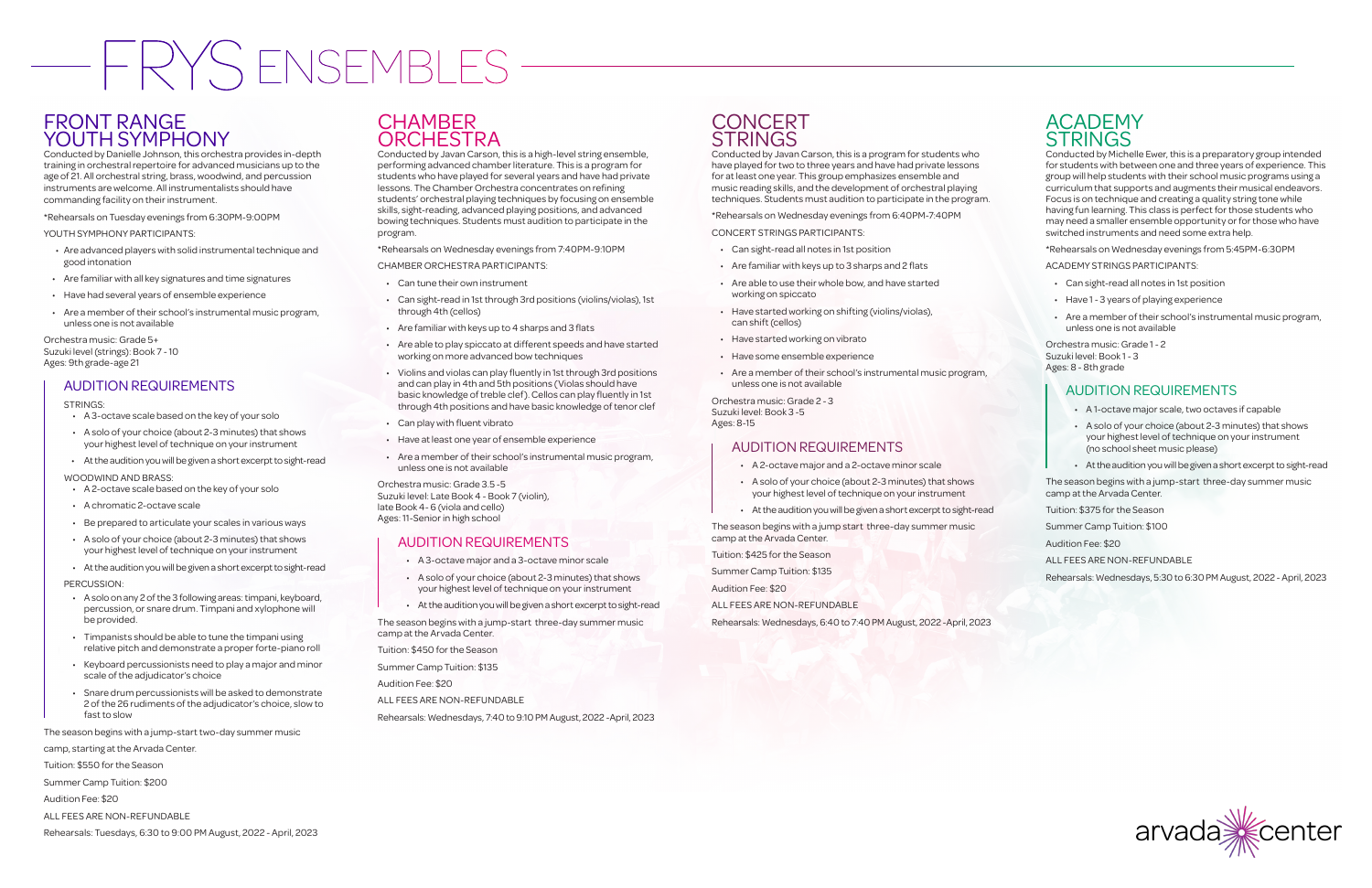# FRYS ENSEMBLES

# FRONT RANGE YOUTH SYMPHONY

Conducted by Danielle Johnson, this orchestra provides in-depth training in orchestral repertoire for advanced musicians up to the age of 21. All orchestral string, brass, woodwind, and percussion instruments are welcome. All instrumentalists should have commanding facility on their instrument.

\*Rehearsals on Tuesday evenings from 6:30PM-9:00PM

YOUTH SYMPHONY PARTICIPANTS:

- Are advanced players with solid instrumental technique and good intonation
- Are familiar with all key signatures and time signatures
- Have had several years of ensemble experience
- Are a member of their school's instrumental music program, unless one is not available

Orchestra music: Grade 5+ Suzuki level (strings): Book 7 - 10 Ages: 9th grade-age 21

## AUDITION REQUIREMENTS

#### STRINGS:

- A 3-octave scale based on the key of your solo
- A solo of your choice (about 2-3 minutes) that shows your highest level of technique on your instrument
- At the audition you will be given a short excerpt to sight-read
- WOODWIND AND BRASS:
- A 2-octave scale based on the key of your solo
- A chromatic 2-octave scale
- Be prepared to articulate your scales in various ways
- A solo of your choice (about 2-3 minutes) that shows your highest level of technique on your instrument
- At the audition you will be given a short excerpt to sight-read

PERCUSSION:

- A solo on any 2 of the 3 following areas: timpani, keyboard, percussion, or snare drum. Timpani and xylophone will be provided.
- Timpanists should be able to tune the timpani using relative pitch and demonstrate a proper forte-piano roll
- Keyboard percussionists need to play a major and minor scale of the adjudicator's choice
- Snare drum percussionists will be asked to demonstrate 2 of the 26 rudiments of the adjudicator's choice, slow to fast to slow

The season begins with a jump-start two-day summer music

camp, starting at the Arvada Center.

Tuition: \$550 for the Season

Summer Camp Tuition: \$200

Audition Fee: \$20

ALL FEES ARE NON-REFUNDABLE

#### Rehearsals: Tuesdays, 6:30 to 9:00 PM August, 2022 - April, 2023

# **CHAMBER ORCHESTRA**

Conducted by Michelle Ewer, this is a preparatory group intended for students with between one and three years of experience. This group will help students with their school music programs using a curriculum that supports and augments their musical endeavors. Focus is on technique and creating a quality string tone while having fun learning. This class is perfect for those students who may need a smaller ensemble opportunity or for those who have switched instruments and need some extra help.

\*Rehearsals on Wednesday evenings from 5:45PM-6:30PM

ACADEMY STRINGS PARTICIPANTS:

- Can sight-read all notes in 1st position
- Have 1 3 years of playing experience
- Are a member of their school's instrumental music program, unless one is not available

Orchestra music: Grade 1 - 2 Suzuki level: Book 1 - 3 Ages: 8 - 8th grade

## AUDITION REQUIREMENTS

- A 1-octave major scale, two octaves if capable
- A solo of your choice (about 2-3 minutes) that shows your highest level of technique on your instrument (no school sheet music please)
- At the audition you will be given a short excerpt to sight-read

The season begins with a jump-start three-day summer music camp at the Arvada Center.

Tuition: \$375 for the Season

Summer Camp Tuition: \$100

Audition Fee: \$20

ALL FEES ARE NON-REFUNDABLE

Rehearsals: Wednesdays, 5:30 to 6:30 PM August, 2022 - April, 2023



Conducted by Javan Carson, this is a high-level string ensemble, performing advanced chamber literature. This is a program for students who have played for several years and have had private lessons. The Chamber Orchestra concentrates on refining students' orchestral playing techniques by focusing on ensemble skills, sight-reading, advanced playing positions, and advanced bowing techniques. Students must audition to participate in the program.

\*Rehearsals on Wednesday evenings from 7:40PM-9:10PM

CHAMBER ORCHESTRA PARTICIPANTS:

- Can tune their own instrument
- Can sight-read in 1st through 3rd positions (violins/violas), 1st through 4th (cellos)
- Are familiar with keys up to 4 sharps and 3 flats
- Are able to play spiccato at different speeds and have started working on more advanced bow techniques
- Violins and violas can play fluently in 1st through 3rd positions and can play in 4th and 5th positions (Violas should have basic knowledge of treble clef). Cellos can play fluently in 1st through 4th positions and have basic knowledge of tenor clef
- Can play with fluent vibrato
- Have at least one year of ensemble experience
- Are a member of their school's instrumental music program, unless one is not available

Orchestra music: Grade 3.5 -5 Suzuki level: Late Book 4 - Book 7 (violin), late Book 4- 6 (viola and cello) Ages: 11-Senior in high school

## AUDITION REQUIREMENTS

- A 3-octave major and a 3-octave minor scale
- A solo of your choice (about 2-3 minutes) that shows your highest level of technique on your instrument
- At the audition you will be given a short excerpt to sight-read

The season begins with a jump-start three-day summer music camp at the Arvada Center.

Tuition: \$450 for the Season

Summer Camp Tuition: \$135

Audition Fee: \$20

ALL FEES ARE NON-REFUNDABLE

Rehearsals: Wednesdays, 7:40 to 9:10 PM August, 2022 -April, 2023

## **CONCERT STRINGS**

Conducted by Javan Carson, this is a program for students who have played for two to three years and have had private lessons for at least one year. This group emphasizes ensemble and music reading skills, and the development of orchestral playing techniques. Students must audition to participate in the program.

\*Rehearsals on Wednesday evenings from 6:40PM-7:40PM

CONCERT STRINGS PARTICIPANTS:

- Can sight-read all notes in 1st position
- Are familiar with keys up to 3 sharps and 2 flats
- Are able to use their whole bow, and have started working on spiccato
- Have started working on shifting (violins/violas), can shift (cellos)
- Have started working on vibrato
- Have some ensemble experience
- Are a member of their school's instrumental music program, unless one is not available

Orchestra music: Grade 2 - 3 Suzuki level: Book 3 -5 Ages: 8-15

#### AUDITION REQUIREMENTS

- A 2-octave major and a 2-octave minor scale
- A solo of your choice (about 2-3 minutes) that shows your highest level of technique on your instrument
- At the audition you will be given a short excerpt to sight-read

The season begins with a jump start three-day summer music camp at the Arvada Center.

Tuition: \$425 for the Season

Summer Camp Tuition: \$135

Audition Fee: \$20

ALL FEES ARE NON-REFUNDABLE

Rehearsals: Wednesdays, 6:40 to 7:40 PM August, 2022 -April, 2023

# **ACADEMY STRINGS**